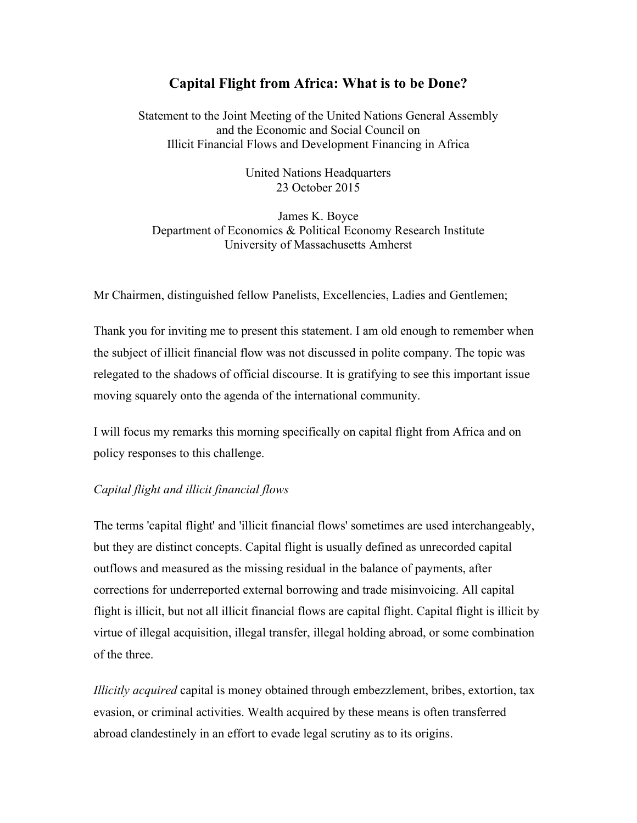# **Capital Flight from Africa: What is to be Done?**

Statement to the Joint Meeting of the United Nations General Assembly and the Economic and Social Council on Illicit Financial Flows and Development Financing in Africa

> United Nations Headquarters 23 October 2015

James K. Boyce Department of Economics & Political Economy Research Institute University of Massachusetts Amherst

Mr Chairmen, distinguished fellow Panelists, Excellencies, Ladies and Gentlemen;

Thank you for inviting me to present this statement. I am old enough to remember when the subject of illicit financial flow was not discussed in polite company. The topic was relegated to the shadows of official discourse. It is gratifying to see this important issue moving squarely onto the agenda of the international community.

I will focus my remarks this morning specifically on capital flight from Africa and on policy responses to this challenge.

## *Capital flight and illicit financial flows*

The terms 'capital flight' and 'illicit financial flows' sometimes are used interchangeably, but they are distinct concepts. Capital flight is usually defined as unrecorded capital outflows and measured as the missing residual in the balance of payments, after corrections for underreported external borrowing and trade misinvoicing. All capital flight is illicit, but not all illicit financial flows are capital flight. Capital flight is illicit by virtue of illegal acquisition, illegal transfer, illegal holding abroad, or some combination of the three.

*Illicitly acquired* capital is money obtained through embezzlement, bribes, extortion, tax evasion, or criminal activities. Wealth acquired by these means is often transferred abroad clandestinely in an effort to evade legal scrutiny as to its origins.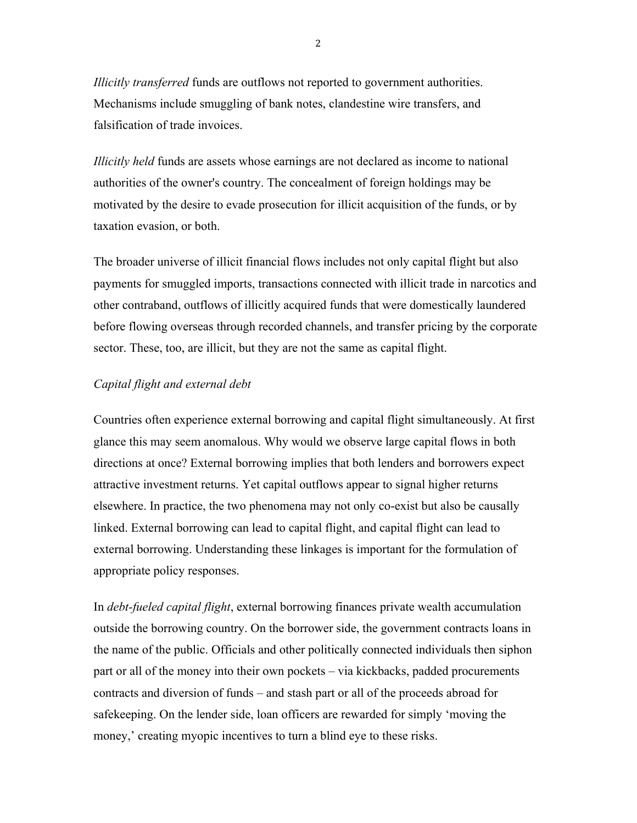*Illicitly transferred* funds are outflows not reported to government authorities. Mechanisms include smuggling of bank notes, clandestine wire transfers, and falsification of trade invoices.

*Illicitly held* funds are assets whose earnings are not declared as income to national authorities of the owner's country. The concealment of foreign holdings may be motivated by the desire to evade prosecution for illicit acquisition of the funds, or by taxation evasion, or both.

The broader universe of illicit financial flows includes not only capital flight but also payments for smuggled imports, transactions connected with illicit trade in narcotics and other contraband, outflows of illicitly acquired funds that were domestically laundered before flowing overseas through recorded channels, and transfer pricing by the corporate sector. These, too, are illicit, but they are not the same as capital flight.

## *Capital flight and external debt*

Countries often experience external borrowing and capital flight simultaneously. At first glance this may seem anomalous. Why would we observe large capital flows in both directions at once? External borrowing implies that both lenders and borrowers expect attractive investment returns. Yet capital outflows appear to signal higher returns elsewhere. In practice, the two phenomena may not only co-exist but also be causally linked. External borrowing can lead to capital flight, and capital flight can lead to external borrowing. Understanding these linkages is important for the formulation of appropriate policy responses.

In *debt-fueled capital flight*, external borrowing finances private wealth accumulation outside the borrowing country. On the borrower side, the government contracts loans in the name of the public. Officials and other politically connected individuals then siphon part or all of the money into their own pockets – via kickbacks, padded procurements contracts and diversion of funds – and stash part or all of the proceeds abroad for safekeeping. On the lender side, loan officers are rewarded for simply 'moving the money,' creating myopic incentives to turn a blind eye to these risks.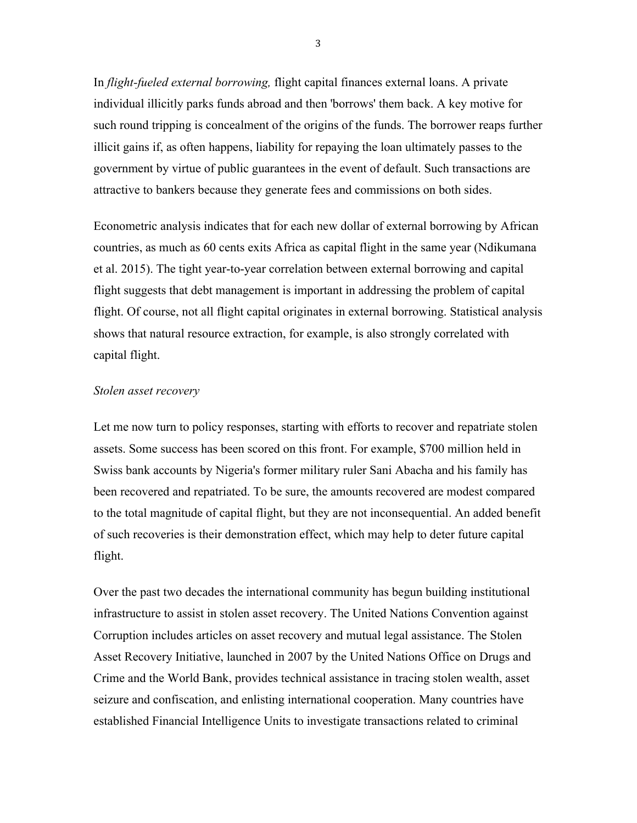In *flight-fueled external borrowing,* flight capital finances external loans. A private individual illicitly parks funds abroad and then 'borrows' them back. A key motive for such round tripping is concealment of the origins of the funds. The borrower reaps further illicit gains if, as often happens, liability for repaying the loan ultimately passes to the government by virtue of public guarantees in the event of default. Such transactions are attractive to bankers because they generate fees and commissions on both sides.

Econometric analysis indicates that for each new dollar of external borrowing by African countries, as much as 60 cents exits Africa as capital flight in the same year (Ndikumana et al. 2015). The tight year-to-year correlation between external borrowing and capital flight suggests that debt management is important in addressing the problem of capital flight. Of course, not all flight capital originates in external borrowing. Statistical analysis shows that natural resource extraction, for example, is also strongly correlated with capital flight.

#### *Stolen asset recovery*

Let me now turn to policy responses, starting with efforts to recover and repatriate stolen assets. Some success has been scored on this front. For example, \$700 million held in Swiss bank accounts by Nigeria's former military ruler Sani Abacha and his family has been recovered and repatriated. To be sure, the amounts recovered are modest compared to the total magnitude of capital flight, but they are not inconsequential. An added benefit of such recoveries is their demonstration effect, which may help to deter future capital flight.

Over the past two decades the international community has begun building institutional infrastructure to assist in stolen asset recovery. The United Nations Convention against Corruption includes articles on asset recovery and mutual legal assistance. The Stolen Asset Recovery Initiative, launched in 2007 by the United Nations Office on Drugs and Crime and the World Bank, provides technical assistance in tracing stolen wealth, asset seizure and confiscation, and enlisting international cooperation. Many countries have established Financial Intelligence Units to investigate transactions related to criminal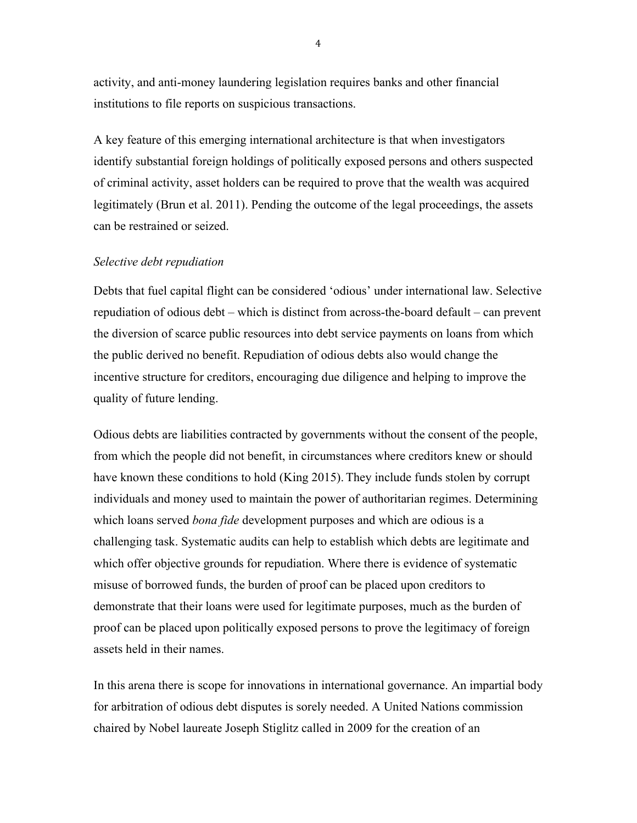activity, and anti-money laundering legislation requires banks and other financial institutions to file reports on suspicious transactions.

A key feature of this emerging international architecture is that when investigators identify substantial foreign holdings of politically exposed persons and others suspected of criminal activity, asset holders can be required to prove that the wealth was acquired legitimately (Brun et al. 2011). Pending the outcome of the legal proceedings, the assets can be restrained or seized.

#### *Selective debt repudiation*

Debts that fuel capital flight can be considered 'odious' under international law. Selective repudiation of odious debt – which is distinct from across-the-board default – can prevent the diversion of scarce public resources into debt service payments on loans from which the public derived no benefit. Repudiation of odious debts also would change the incentive structure for creditors, encouraging due diligence and helping to improve the quality of future lending.

Odious debts are liabilities contracted by governments without the consent of the people, from which the people did not benefit, in circumstances where creditors knew or should have known these conditions to hold (King 2015). They include funds stolen by corrupt individuals and money used to maintain the power of authoritarian regimes. Determining which loans served *bona fide* development purposes and which are odious is a challenging task. Systematic audits can help to establish which debts are legitimate and which offer objective grounds for repudiation. Where there is evidence of systematic misuse of borrowed funds, the burden of proof can be placed upon creditors to demonstrate that their loans were used for legitimate purposes, much as the burden of proof can be placed upon politically exposed persons to prove the legitimacy of foreign assets held in their names.

In this arena there is scope for innovations in international governance. An impartial body for arbitration of odious debt disputes is sorely needed. A United Nations commission chaired by Nobel laureate Joseph Stiglitz called in 2009 for the creation of an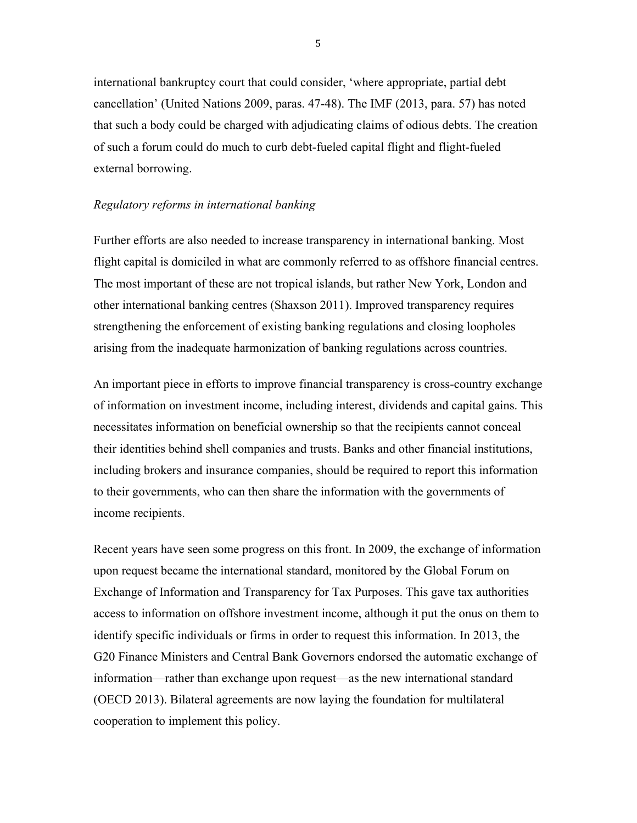international bankruptcy court that could consider, 'where appropriate, partial debt cancellation' (United Nations 2009, paras. 47-48). The IMF (2013, para. 57) has noted that such a body could be charged with adjudicating claims of odious debts. The creation of such a forum could do much to curb debt-fueled capital flight and flight-fueled external borrowing.

## *Regulatory reforms in international banking*

Further efforts are also needed to increase transparency in international banking. Most flight capital is domiciled in what are commonly referred to as offshore financial centres. The most important of these are not tropical islands, but rather New York, London and other international banking centres (Shaxson 2011). Improved transparency requires strengthening the enforcement of existing banking regulations and closing loopholes arising from the inadequate harmonization of banking regulations across countries.

An important piece in efforts to improve financial transparency is cross-country exchange of information on investment income, including interest, dividends and capital gains. This necessitates information on beneficial ownership so that the recipients cannot conceal their identities behind shell companies and trusts. Banks and other financial institutions, including brokers and insurance companies, should be required to report this information to their governments, who can then share the information with the governments of income recipients.

Recent years have seen some progress on this front. In 2009, the exchange of information upon request became the international standard, monitored by the Global Forum on Exchange of Information and Transparency for Tax Purposes. This gave tax authorities access to information on offshore investment income, although it put the onus on them to identify specific individuals or firms in order to request this information. In 2013, the G20 Finance Ministers and Central Bank Governors endorsed the automatic exchange of information—rather than exchange upon request—as the new international standard (OECD 2013). Bilateral agreements are now laying the foundation for multilateral cooperation to implement this policy.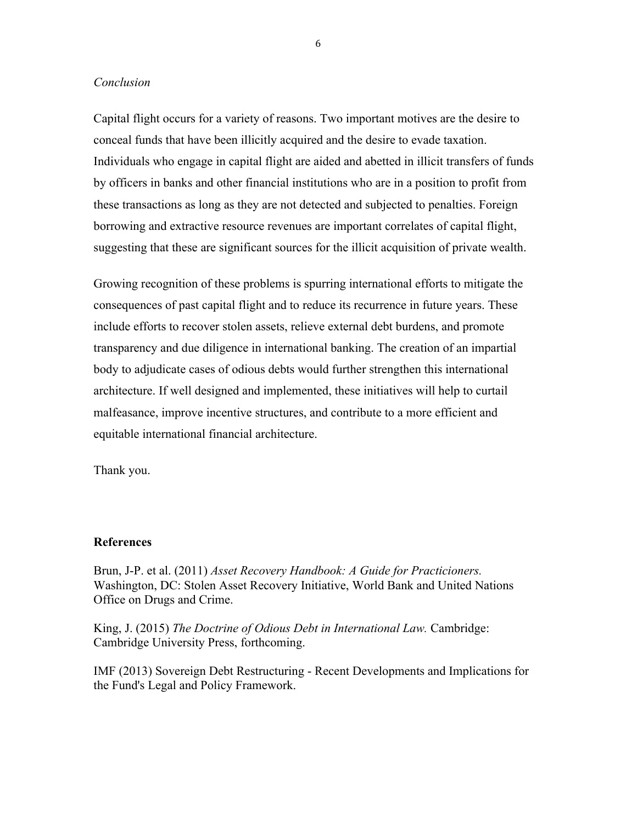## *Conclusion*

Capital flight occurs for a variety of reasons. Two important motives are the desire to conceal funds that have been illicitly acquired and the desire to evade taxation. Individuals who engage in capital flight are aided and abetted in illicit transfers of funds by officers in banks and other financial institutions who are in a position to profit from these transactions as long as they are not detected and subjected to penalties. Foreign borrowing and extractive resource revenues are important correlates of capital flight, suggesting that these are significant sources for the illicit acquisition of private wealth.

Growing recognition of these problems is spurring international efforts to mitigate the consequences of past capital flight and to reduce its recurrence in future years. These include efforts to recover stolen assets, relieve external debt burdens, and promote transparency and due diligence in international banking. The creation of an impartial body to adjudicate cases of odious debts would further strengthen this international architecture. If well designed and implemented, these initiatives will help to curtail malfeasance, improve incentive structures, and contribute to a more efficient and equitable international financial architecture.

Thank you.

## **References**

Brun, J-P. et al. (2011) *Asset Recovery Handbook: A Guide for Practicioners.*  Washington, DC: Stolen Asset Recovery Initiative, World Bank and United Nations Office on Drugs and Crime.

King, J. (2015) *The Doctrine of Odious Debt in International Law.* Cambridge: Cambridge University Press, forthcoming.

IMF (2013) Sovereign Debt Restructuring - Recent Developments and Implications for the Fund's Legal and Policy Framework.